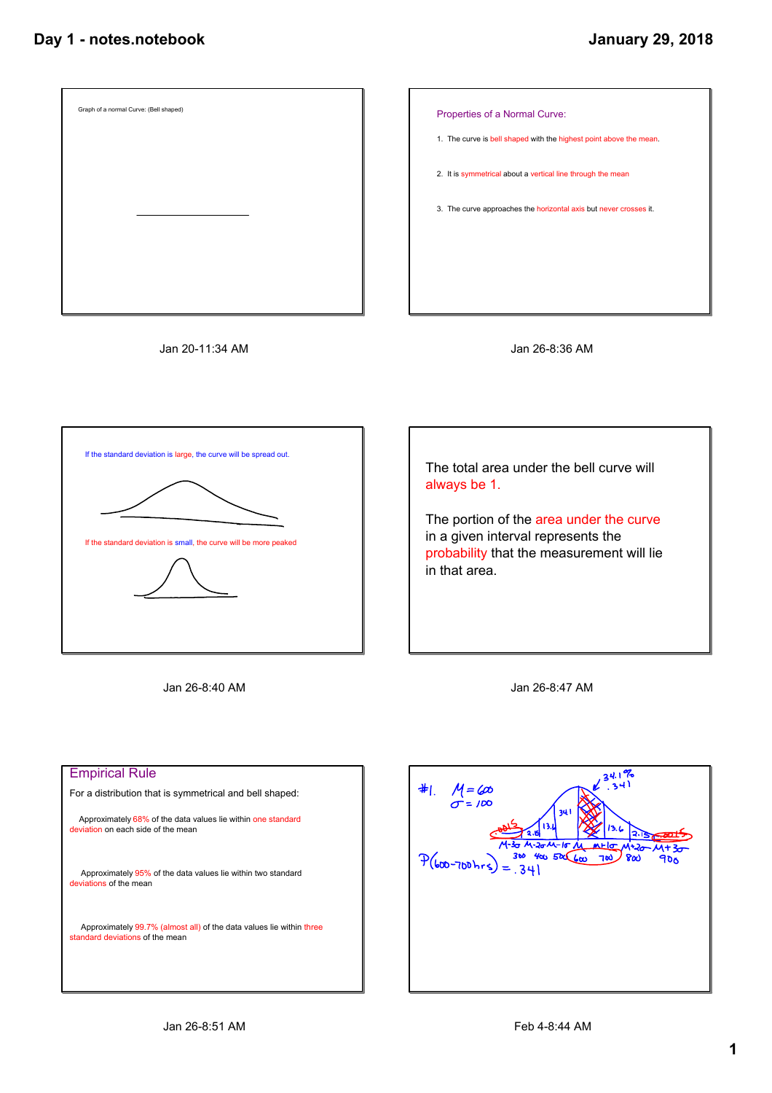



Jan 20-11:34 AM





Jan 26-8:40 AM



Jan 26-8:47 AM

| <b>Empirical Rule</b>                                                                                   |
|---------------------------------------------------------------------------------------------------------|
| For a distribution that is symmetrical and bell shaped:                                                 |
| Approximately 68% of the data values lie within one standard<br>deviation on each side of the mean      |
| Approximately 95% of the data values lie within two standard<br>deviations of the mean                  |
| Approximately 99.7% (almost all) of the data values lie within three<br>standard deviations of the mean |
|                                                                                                         |